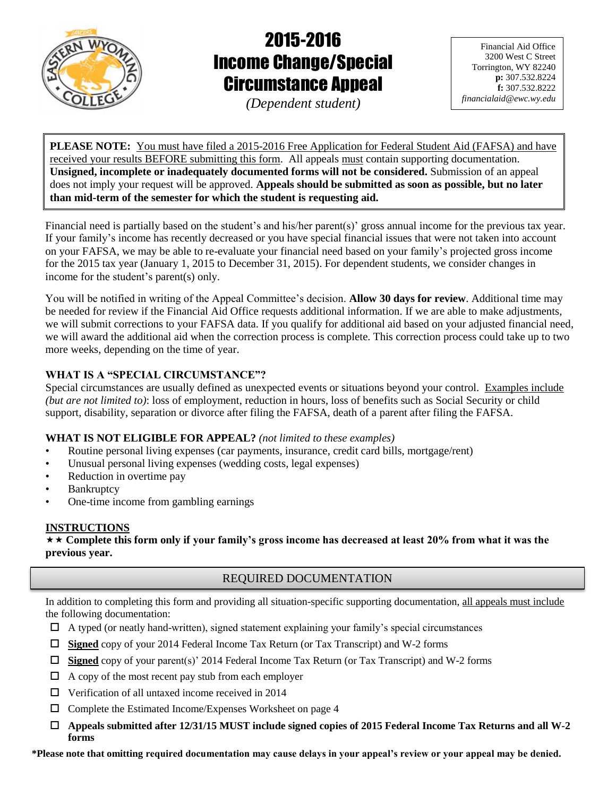

# 2015-2016 Income Change/Special Circumstance Appeal

*(Dependent student)*

Financial Aid Office 3200 West C Street Torrington, WY 82240 **p:** 307.532.8224 **f:** 307.532.8222 *financialaid@ewc.wy.edu*

**PLEASE NOTE:** You must have filed a 2015-2016 Free Application for Federal Student Aid (FAFSA) and have received your results BEFORE submitting this form. All appeals must contain supporting documentation. **Unsigned, incomplete or inadequately documented forms will not be considered.** Submission of an appeal does not imply your request will be approved. **Appeals should be submitted as soon as possible, but no later than mid-term of the semester for which the student is requesting aid.**

Financial need is partially based on the student's and his/her parent(s)' gross annual income for the previous tax year. If your family's income has recently decreased or you have special financial issues that were not taken into account on your FAFSA, we may be able to re-evaluate your financial need based on your family's projected gross income for the 2015 tax year (January 1, 2015 to December 31, 2015). For dependent students, we consider changes in income for the student's parent(s) only.

You will be notified in writing of the Appeal Committee's decision. **Allow 30 days for review**. Additional time may be needed for review if the Financial Aid Office requests additional information. If we are able to make adjustments, we will submit corrections to your FAFSA data. If you qualify for additional aid based on your adjusted financial need, we will award the additional aid when the correction process is complete. This correction process could take up to two more weeks, depending on the time of year.

## **WHAT IS A "SPECIAL CIRCUMSTANCE"?**

Special circumstances are usually defined as unexpected events or situations beyond your control. Examples include *(but are not limited to)*: loss of employment, reduction in hours, loss of benefits such as Social Security or child support, disability, separation or divorce after filing the FAFSA, death of a parent after filing the FAFSA.

# **WHAT IS NOT ELIGIBLE FOR APPEAL?** *(not limited to these examples)*

- Routine personal living expenses (car payments, insurance, credit card bills, mortgage/rent)
- Unusual personal living expenses (wedding costs, legal expenses)
- Reduction in overtime pay
- **Bankruptcy**
- One-time income from gambling earnings

# **INSTRUCTIONS**

 **Complete this form only if your family's gross income has decreased at least 20% from what it was the previous year.**

# REQUIRED DOCUMENTATION

In addition to completing this form and providing all situation-specific supporting documentation, all appeals must include the following documentation:

- $\Box$  A typed (or neatly hand-written), signed statement explaining your family's special circumstances
- **Signed** copy of your 2014 Federal Income Tax Return (or Tax Transcript) and W-2 forms
- **Signed** copy of your parent(s)' 2014 Federal Income Tax Return (or Tax Transcript) and W-2 forms
- $\Box$  A copy of the most recent pay stub from each employer
- $\Box$  Verification of all untaxed income received in 2014
- $\Box$  Complete the Estimated Income/Expenses Worksheet on page 4
- **Appeals submitted after 12/31/15 MUST include signed copies of 2015 Federal Income Tax Returns and all W-2 forms**

**\*Please note that omitting required documentation may cause delays in your appeal's review or your appeal may be denied.**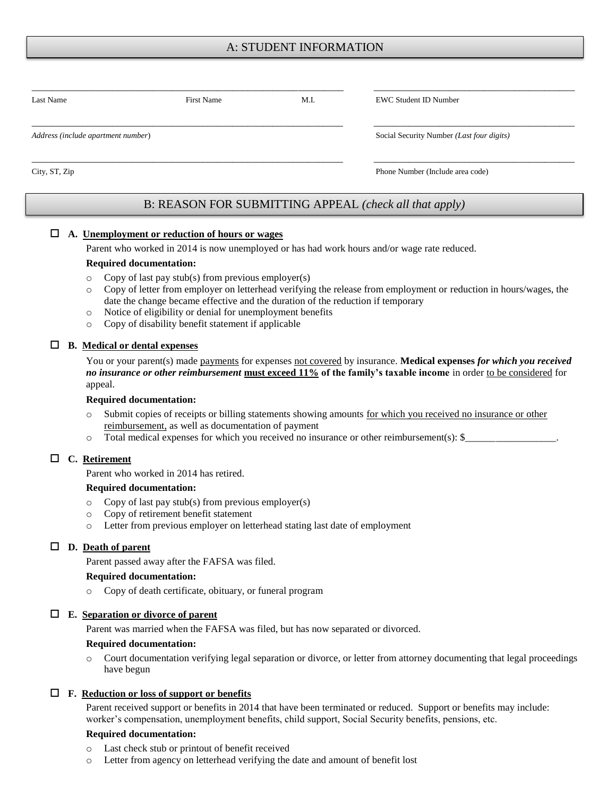# A: STUDENT INFORMATION

| Last Name                          | First Name | M.I.                             | <b>EWC Student ID Number</b>              |  |
|------------------------------------|------------|----------------------------------|-------------------------------------------|--|
| Address (include apartment number) |            |                                  | Social Security Number (Last four digits) |  |
| City, ST, Zip                      |            | Phone Number (Include area code) |                                           |  |

## B: REASON FOR SUBMITTING APPEAL *(check all that apply)*

#### **A. Unemployment or reduction of hours or wages**

Parent who worked in 2014 is now unemployed or has had work hours and/or wage rate reduced.

#### **Required documentation:**

- $\circ$  Copy of last pay stub(s) from previous employer(s)
- o Copy of letter from employer on letterhead verifying the release from employment or reduction in hours/wages, the date the change became effective and the duration of the reduction if temporary
- o Notice of eligibility or denial for unemployment benefits
- o Copy of disability benefit statement if applicable

#### **B. Medical or dental expenses**

You or your parent(s) made payments for expenses not covered by insurance. **Medical expenses** *for which you received no insurance or other reimbursement* **must exceed 11% of the family's taxable income** in order to be considered for appeal.

#### **Required documentation:**

- o Submit copies of receipts or billing statements showing amounts for which you received no insurance or other reimbursement, as well as documentation of payment
- $\circ$  Total medical expenses for which you received no insurance or other reimbursement(s):  $\frac{1}{2}$

#### **C. Retirement**

Parent who worked in 2014 has retired.

#### **Required documentation:**

- o Copy of last pay stub(s) from previous employer(s)
- o Copy of retirement benefit statement
- o Letter from previous employer on letterhead stating last date of employment

#### **D. Death of parent**

Parent passed away after the FAFSA was filed.

#### **Required documentation:**

o Copy of death certificate, obituary, or funeral program

#### **E. Separation or divorce of parent**

Parent was married when the FAFSA was filed, but has now separated or divorced.

#### **Required documentation:**

o Court documentation verifying legal separation or divorce, or letter from attorney documenting that legal proceedings have begun

#### **F. Reduction or loss of support or benefits**

Parent received support or benefits in 2014 that have been terminated or reduced. Support or benefits may include: worker's compensation, unemployment benefits, child support, Social Security benefits, pensions, etc.

#### **Required documentation:**

- o Last check stub or printout of benefit received
- Letter from agency on letterhead verifying the date and amount of benefit lost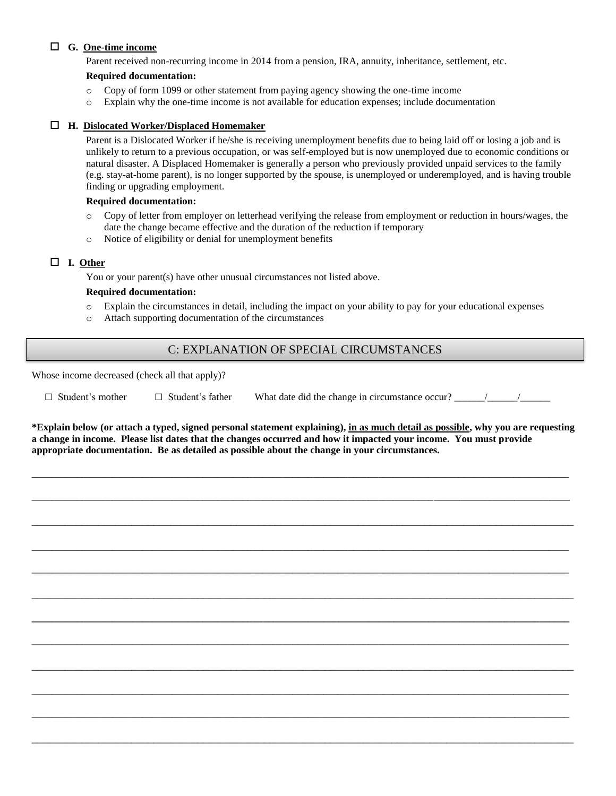### **G. One-time income**

Parent received non-recurring income in 2014 from a pension, IRA, annuity, inheritance, settlement, etc.

#### **Required documentation:**

- o Copy of form 1099 or other statement from paying agency showing the one-time income
- o Explain why the one-time income is not available for education expenses; include documentation

#### **H. Dislocated Worker/Displaced Homemaker**

Parent is a Dislocated Worker if he/she is receiving unemployment benefits due to being laid off or losing a job and is unlikely to return to a previous occupation, or was self-employed but is now unemployed due to economic conditions or natural disaster. A Displaced Homemaker is generally a person who previously provided unpaid services to the family (e.g. stay-at-home parent), is no longer supported by the spouse, is unemployed or underemployed, and is having trouble finding or upgrading employment.

#### **Required documentation:**

- o Copy of letter from employer on letterhead verifying the release from employment or reduction in hours/wages, the date the change became effective and the duration of the reduction if temporary
- o Notice of eligibility or denial for unemployment benefits

#### **I. Other**

You or your parent(s) have other unusual circumstances not listed above.

#### **Required documentation:**

- o Explain the circumstances in detail, including the impact on your ability to pay for your educational expenses
- o Attach supporting documentation of the circumstances

## C: EXPLANATION OF SPECIAL CIRCUMSTANCES

Whose income decreased (check all that apply)?

□ Student's mother □ Student's father What date did the change in circumstance occur? \_\_\_\_\_\_/\_\_\_\_\_\_/\_\_\_\_\_\_

**\*Explain below (or attach a typed, signed personal statement explaining), in as much detail as possible, why you are requesting a change in income. Please list dates that the changes occurred and how it impacted your income. You must provide appropriate documentation. Be as detailed as possible about the change in your circumstances.**

**\_\_\_\_\_\_\_\_\_\_\_\_\_\_\_\_\_\_\_\_\_\_\_\_\_\_\_\_\_\_\_\_\_\_\_\_\_\_\_\_\_\_\_\_\_\_\_\_\_\_\_\_\_\_\_\_\_\_\_\_\_\_\_\_\_\_\_\_\_\_\_\_\_\_\_\_\_\_\_\_\_\_\_\_\_\_\_\_\_\_\_\_\_\_\_\_\_\_\_\_\_\_\_\_\_\_\_**

\_\_\_\_\_\_\_\_\_\_\_\_\_\_\_\_\_\_\_\_\_\_\_\_\_\_\_\_\_\_\_\_\_\_\_\_\_\_\_\_\_\_\_\_\_\_\_\_\_\_\_\_\_\_\_\_\_\_\_\_\_\_\_\_\_\_\_\_\_\_\_\_\_\_\_\_\_\_\_\_\_\_\_\_\_\_\_\_\_\_\_\_\_\_\_\_\_\_\_\_\_\_\_\_\_\_\_

\_\_\_\_\_\_\_\_\_\_\_\_\_\_\_\_\_\_\_\_\_\_\_\_\_\_\_\_\_\_\_\_\_\_\_\_\_\_\_\_\_\_\_\_\_\_\_\_\_\_\_\_\_\_\_\_\_\_\_\_\_\_\_\_\_\_\_\_\_\_\_\_\_\_\_\_\_\_\_\_\_\_\_\_\_\_\_\_\_\_\_\_\_\_\_\_\_\_

**\_\_\_\_\_\_\_\_\_\_\_\_\_\_\_\_\_\_\_\_\_\_\_\_\_\_\_\_\_\_\_\_\_\_\_\_\_\_\_\_\_\_\_\_\_\_\_\_\_\_\_\_\_\_\_\_\_\_\_\_\_\_\_\_\_\_\_\_\_\_\_\_\_\_\_\_\_\_\_\_\_\_\_\_\_\_\_\_\_\_\_\_\_\_\_\_\_\_\_\_\_\_\_\_\_\_\_**

\_\_\_\_\_\_\_\_\_\_\_\_\_\_\_\_\_\_\_\_\_\_\_\_\_\_\_\_\_\_\_\_\_\_\_\_\_\_\_\_\_\_\_\_\_\_\_\_\_\_\_\_\_\_\_\_\_\_\_\_\_\_\_\_\_\_\_\_\_\_\_\_\_\_\_\_\_\_\_\_\_\_\_\_\_\_\_\_\_\_\_\_\_\_\_\_\_\_\_\_\_\_\_\_\_\_\_

\_\_\_\_\_\_\_\_\_\_\_\_\_\_\_\_\_\_\_\_\_\_\_\_\_\_\_\_\_\_\_\_\_\_\_\_\_\_\_\_\_\_\_\_\_\_\_\_\_\_\_\_\_\_\_\_\_\_\_\_\_\_\_\_\_\_\_\_\_\_\_\_\_\_\_\_\_\_\_\_\_\_\_\_\_\_\_\_\_\_\_\_\_\_\_\_\_\_

**\_\_\_\_\_\_\_\_\_\_\_\_\_\_\_\_\_\_\_\_\_\_\_\_\_\_\_\_\_\_\_\_\_\_\_\_\_\_\_\_\_\_\_\_\_\_\_\_\_\_\_\_\_\_\_\_\_\_\_\_\_\_\_\_\_\_\_\_\_\_\_\_\_\_\_\_\_\_\_\_\_\_\_\_\_\_\_\_\_\_\_\_\_\_\_\_\_\_\_\_\_\_\_\_\_\_\_**

\_\_\_\_\_\_\_\_\_\_\_\_\_\_\_\_\_\_\_\_\_\_\_\_\_\_\_\_\_\_\_\_\_\_\_\_\_\_\_\_\_\_\_\_\_\_\_\_\_\_\_\_\_\_\_\_\_\_\_\_\_\_\_\_\_\_\_\_\_\_\_\_\_\_\_\_\_\_\_\_\_\_\_\_\_\_\_\_\_\_\_\_\_\_\_\_\_\_\_\_\_\_\_\_\_\_\_

\_\_\_\_\_\_\_\_\_\_\_\_\_\_\_\_\_\_\_\_\_\_\_\_\_\_\_\_\_\_\_\_\_\_\_\_\_\_\_\_\_\_\_\_\_\_\_\_\_\_\_\_\_\_\_\_\_\_\_\_\_\_\_\_\_\_\_\_\_\_\_\_\_\_\_\_\_\_\_\_\_\_\_\_\_\_\_\_\_\_\_\_\_\_\_\_\_\_

\_\_\_\_\_\_\_\_\_\_\_\_\_\_\_\_\_\_\_\_\_\_\_\_\_\_\_\_\_\_\_\_\_\_\_\_\_\_\_\_\_\_\_\_\_\_\_\_\_\_\_\_\_\_\_\_\_\_\_\_\_\_\_\_\_\_\_\_\_\_\_\_\_\_\_\_\_\_\_\_\_\_\_\_\_\_\_\_\_\_\_\_\_\_\_\_\_\_\_\_\_\_\_\_\_\_\_

\_\_\_\_\_\_\_\_\_\_\_\_\_\_\_\_\_\_\_\_\_\_\_\_\_\_\_\_\_\_\_\_\_\_\_\_\_\_\_\_\_\_\_\_\_\_\_\_\_\_\_\_\_\_\_\_\_\_\_\_\_\_\_\_\_\_\_\_\_\_\_\_\_\_\_\_\_\_\_\_\_\_\_\_\_\_\_\_\_\_\_\_\_\_\_\_\_\_\_\_\_\_\_\_\_\_\_

\_\_\_\_\_\_\_\_\_\_\_\_\_\_\_\_\_\_\_\_\_\_\_\_\_\_\_\_\_\_\_\_\_\_\_\_\_\_\_\_\_\_\_\_\_\_\_\_\_\_\_\_\_\_\_\_\_\_\_\_\_\_\_\_\_\_\_\_\_\_\_\_\_\_\_\_\_\_\_\_\_\_\_\_\_\_\_\_\_\_\_\_\_\_\_\_\_\_